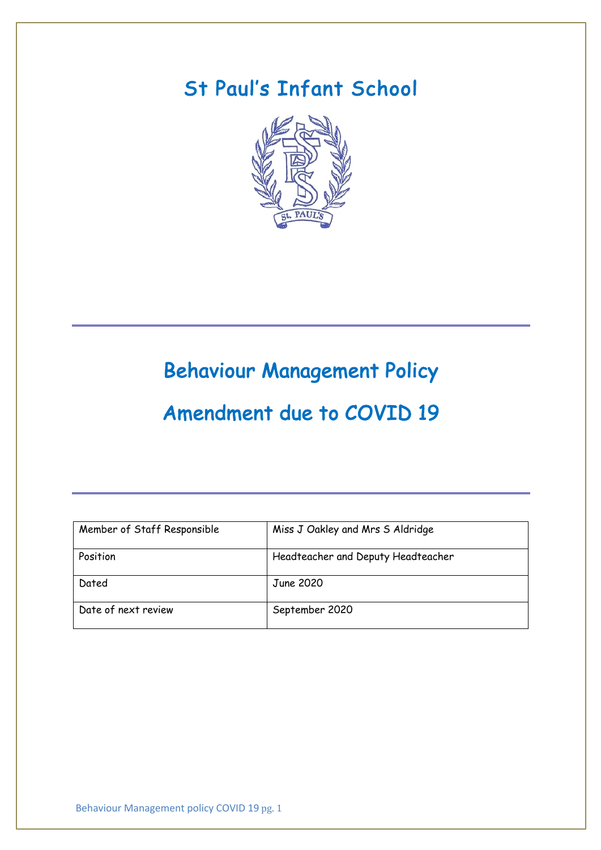## St Paul's Infant School



# Behaviour Management Policy

# Amendment due to COVID 19

| Member of Staff Responsible | Miss J Oakley and Mrs S Aldridge   |  |
|-----------------------------|------------------------------------|--|
| Position                    | Headteacher and Deputy Headteacher |  |
| Dated                       | June 2020                          |  |
| Date of next review         | September 2020                     |  |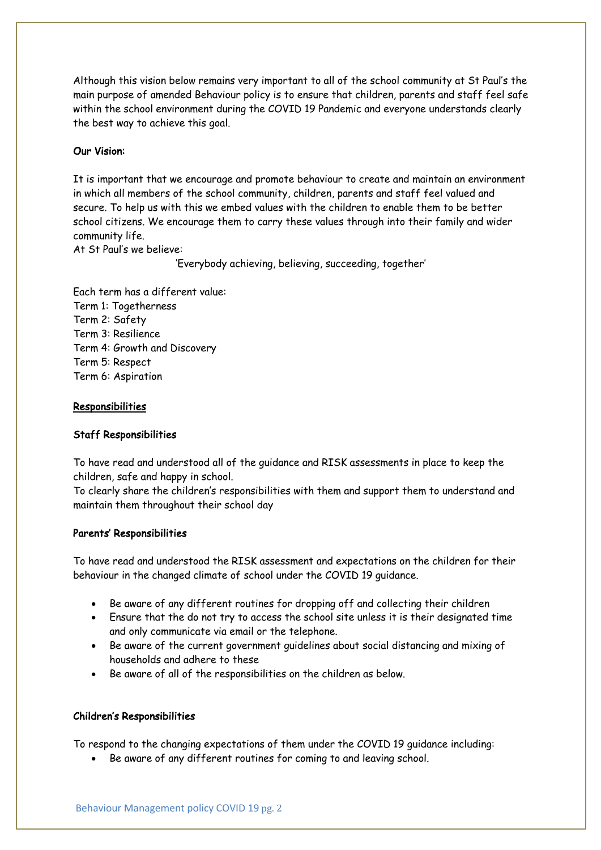Although this vision below remains very important to all of the school community at St Paul's the main purpose of amended Behaviour policy is to ensure that children, parents and staff feel safe within the school environment during the COVID 19 Pandemic and everyone understands clearly the best way to achieve this goal.

### Our Vision:

It is important that we encourage and promote behaviour to create and maintain an environment in which all members of the school community, children, parents and staff feel valued and secure. To help us with this we embed values with the children to enable them to be better school citizens. We encourage them to carry these values through into their family and wider community life.

At St Paul's we believe:

'Everybody achieving, believing, succeeding, together'

Each term has a different value: Term 1: Togetherness Term 2: Safety Term 3: Resilience Term 4: Growth and Discovery Term 5: Respect Term 6: Aspiration

### Responsibilities

#### Staff Responsibilities

To have read and understood all of the guidance and RISK assessments in place to keep the children, safe and happy in school.

To clearly share the children's responsibilities with them and support them to understand and maintain them throughout their school day

#### Parents' Responsibilities

To have read and understood the RISK assessment and expectations on the children for their behaviour in the changed climate of school under the COVID 19 guidance.

- Be aware of any different routines for dropping off and collecting their children
- Ensure that the do not try to access the school site unless it is their designated time and only communicate via email or the telephone.
- Be aware of the current government guidelines about social distancing and mixing of households and adhere to these
- Be aware of all of the responsibilities on the children as below.

#### Children's Responsibilities

To respond to the changing expectations of them under the COVID 19 guidance including:

• Be aware of any different routines for coming to and leaving school.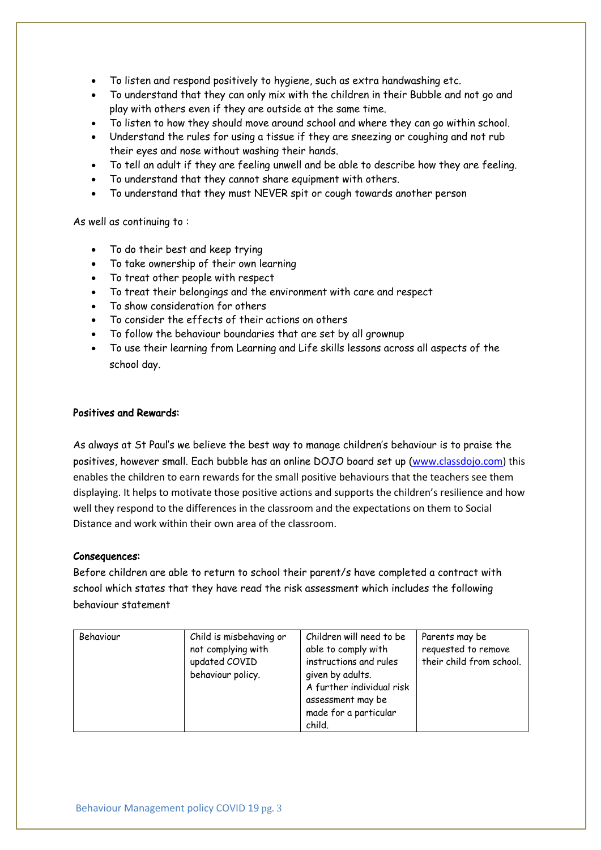- To listen and respond positively to hygiene, such as extra handwashing etc.
- To understand that they can only mix with the children in their Bubble and not go and play with others even if they are outside at the same time.
- To listen to how they should move around school and where they can go within school.
- Understand the rules for using a tissue if they are sneezing or coughing and not rub their eyes and nose without washing their hands.
- To tell an adult if they are feeling unwell and be able to describe how they are feeling.
- To understand that they cannot share equipment with others.
- To understand that they must NEVER spit or cough towards another person

As well as continuing to :

- To do their best and keep trying
- To take ownership of their own learning
- To treat other people with respect
- To treat their belongings and the environment with care and respect
- To show consideration for others
- To consider the effects of their actions on others
- To follow the behaviour boundaries that are set by all grownup
- To use their learning from Learning and Life skills lessons across all aspects of the school day.

#### Positives and Rewards:

As always at St Paul's we believe the best way to manage children's behaviour is to praise the positives, however small. Each bubble has an online DOJO board set up (www.classdojo.com) this enables the children to earn rewards for the small positive behaviours that the teachers see them displaying. It helps to motivate those positive actions and supports the children's resilience and how well they respond to the differences in the classroom and the expectations on them to Social Distance and work within their own area of the classroom.

#### Consequences:

Before children are able to return to school their parent/s have completed a contract with school which states that they have read the risk assessment which includes the following behaviour statement

| Child is misbehaving or<br>Behaviour<br>not complying with<br>updated COVID<br>behaviour policy. | Children will need to be<br>able to comply with<br>instructions and rules<br>given by adults.<br>A further individual risk<br>assessment may be<br>made for a particular<br>child. | Parents may be<br>requested to remove<br>their child from school. |
|--------------------------------------------------------------------------------------------------|------------------------------------------------------------------------------------------------------------------------------------------------------------------------------------|-------------------------------------------------------------------|
|--------------------------------------------------------------------------------------------------|------------------------------------------------------------------------------------------------------------------------------------------------------------------------------------|-------------------------------------------------------------------|